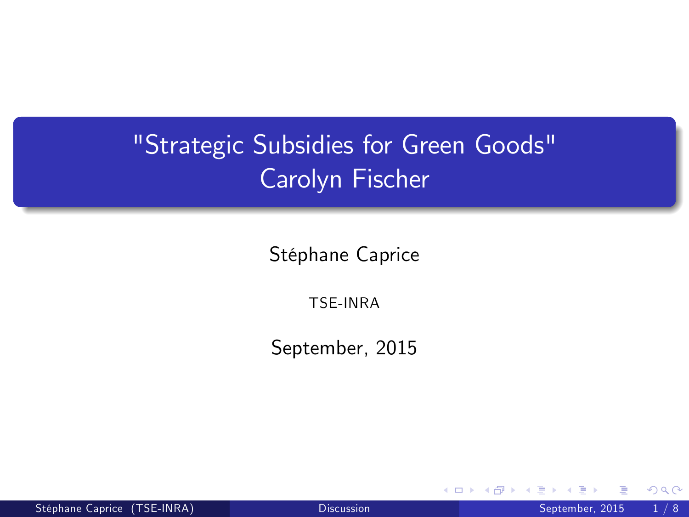## "Strategic Subsidies for Green Goods" Carolyn Fischer

Stéphane Caprice

TSE-INRA

September, 2015

4 0 8

<span id="page-0-0"></span> $290$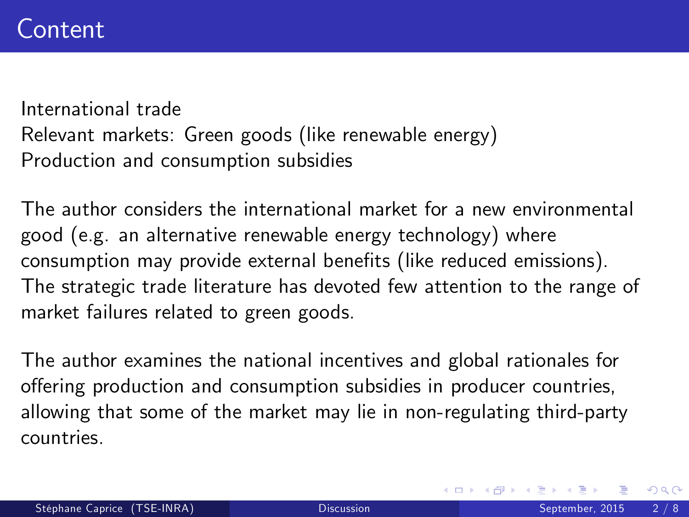International trade Relevant markets: Green goods (like renewable energy) Production and consumption subsidies

The author considers the international market for a new environmental good (e.g. an alternative renewable energy technology) where consumption may provide external benefits (like reduced emissions). The strategic trade literature has devoted few attention to the range of market failures related to green goods.

The author examines the national incentives and global rationales for offering production and consumption subsidies in producer countries, allowing that some of the market may lie in non-regulating third-party countries.

 $200$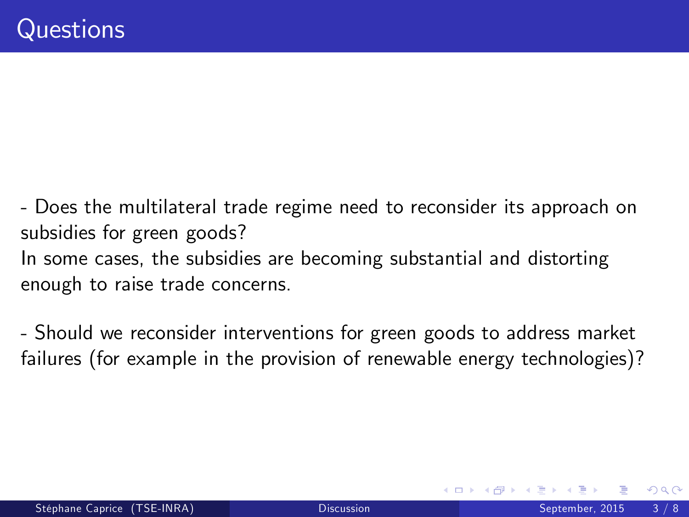- Does the multilateral trade regime need to reconsider its approach on subsidies for green goods? In some cases, the subsidies are becoming substantial and distorting enough to raise trade concerns.

- Should we reconsider interventions for green goods to address market failures (for example in the provision of renewable energy technologies)?

つひひ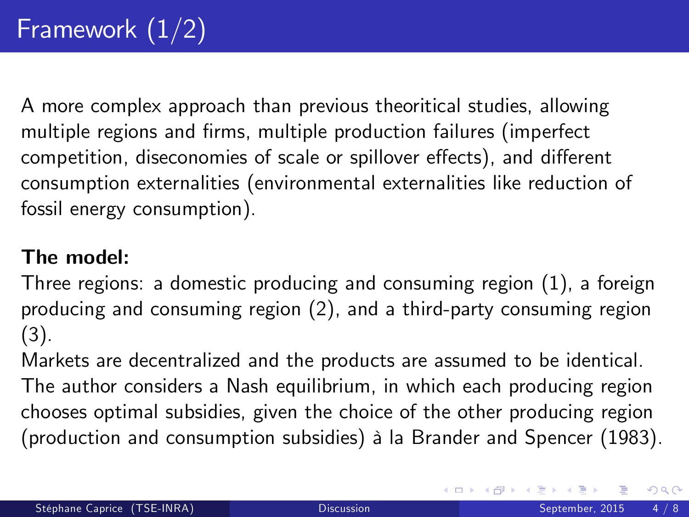A more complex approach than previous theoritical studies, allowing multiple regions and firms, multiple production failures (imperfect competition, diseconomies of scale or spillover effects), and different consumption externalities (environmental externalities like reduction of fossil energy consumption).

## The model:

Three regions: a domestic producing and consuming region (1), a foreign producing and consuming region (2), and a third-party consuming region (3).

Markets are decentralized and the products are assumed to be identical. The author considers a Nash equilibrium, in which each producing region chooses optimal subsidies, given the choice of the other producing region (production and consumption subsidies) à la Brander and Spencer (1983).

 $\Omega$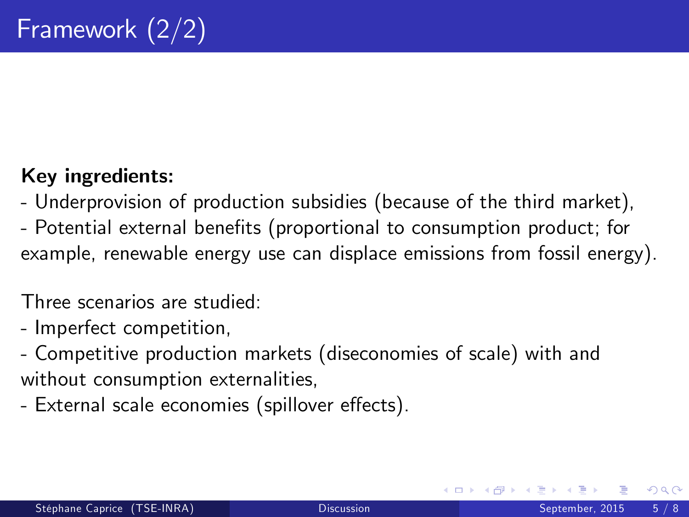## Key ingredients:

- Underprovision of production subsidies (because of the third market),
- Potential external benefits (proportional to consumption product; for example, renewable energy use can displace emissions from fossil energy).

Three scenarios are studied:

- Imperfect competition,
- Competitive production markets (diseconomies of scale) with and without consumption externalities,
- External scale economies (spillover effects).

<span id="page-4-0"></span> $200$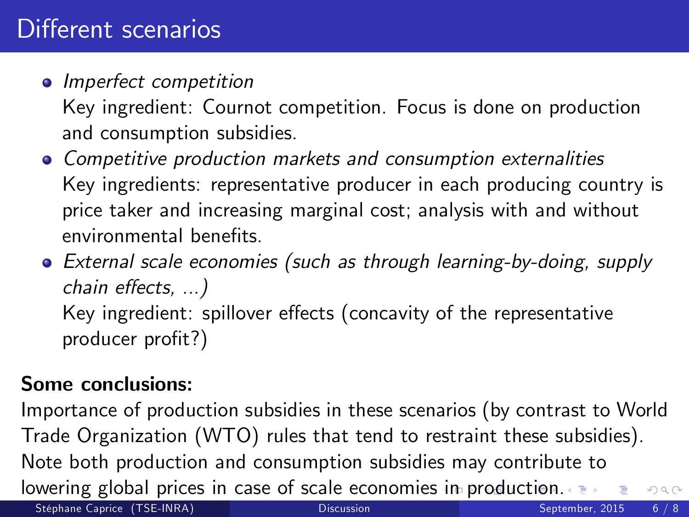**•** Imperfect competition

Key ingredient: Cournot competition. Focus is done on production and consumption subsidies.

- Competitive production markets and consumption externalities Key ingredients: representative producer in each producing country is price taker and increasing marginal cost; analysis with and without environmental benefits
- External scale economies (such as through learning-by-doing, supply chain effects, ...) Key ingredient: spillover effects (concavity of the representative producer profit?)

## Some conclusions:

<span id="page-5-0"></span>Importance of production subsidies in these scenarios (by contrast to World Trade Organization (WTO) rules that tend to restraint these subsidies). Note both production and consumption subsidies may contribute to lowering global prices in case of scale economies [in](#page-4-0) [p](#page-6-0)[ro](#page-4-0)[d](#page-5-0)[u](#page-6-0)[ct](#page-4-0)[io](#page-5-0)[n.](#page-6-0)  $QQ$ Stéphane Caprice (TSE-INRA) [Discussion](#page-0-0) Discussion September, 2015 6 / 8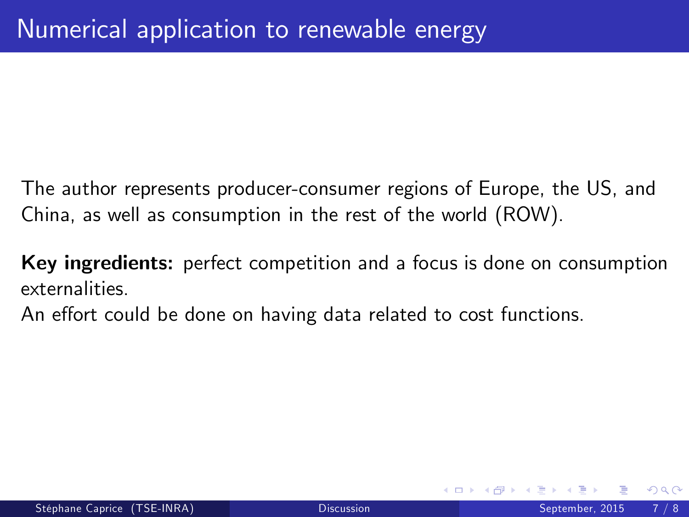The author represents producer-consumer regions of Europe, the US, and China, as well as consumption in the rest of the world (ROW).

Key ingredients: perfect competition and a focus is done on consumption externalities.

An effort could be done on having data related to cost functions.

<span id="page-6-0"></span> $\Omega$